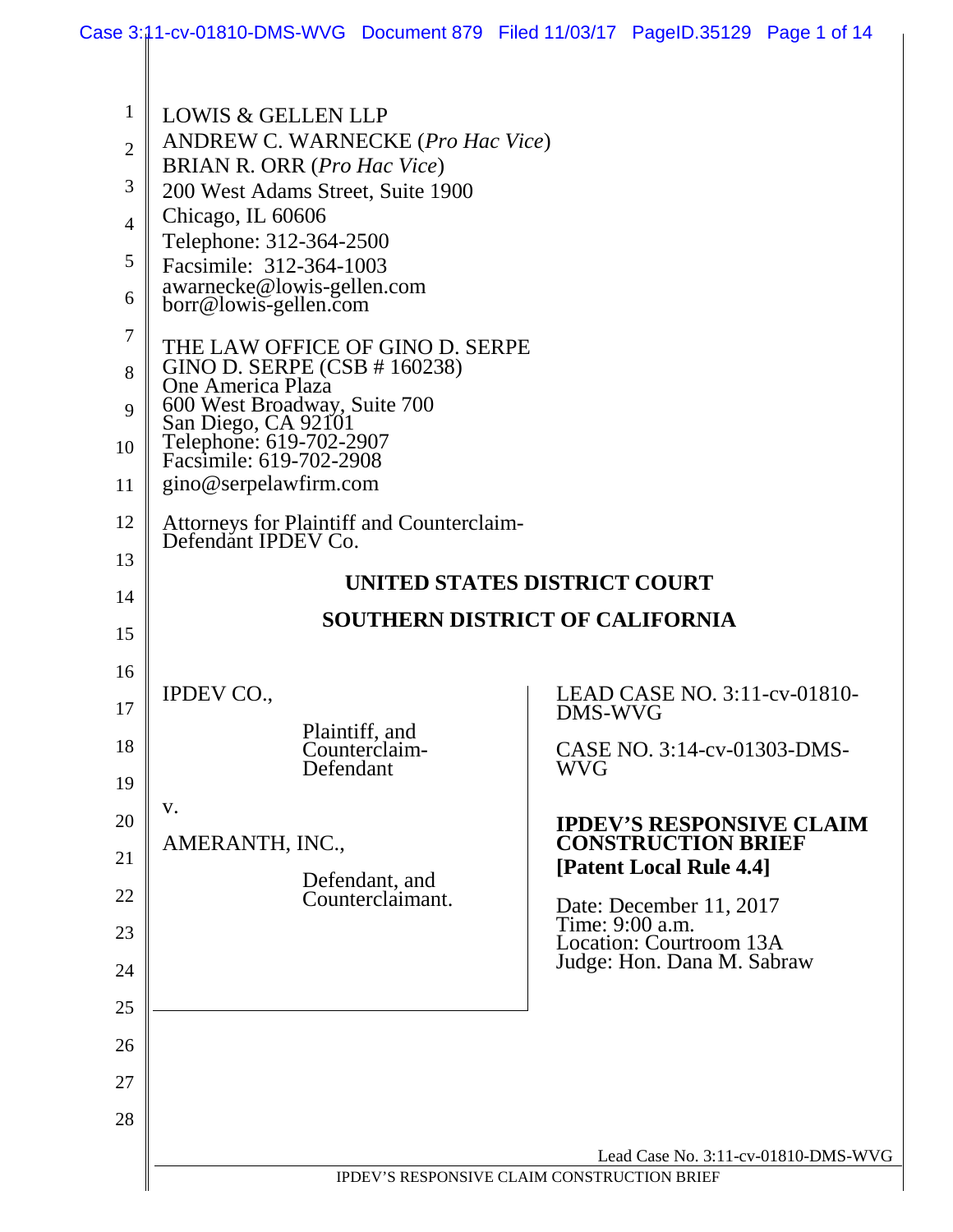|                                                                                                                                                                                | Case 3:11-cv-01810-DMS-WVG Document 879 Filed 11/03/17 PageID.35129 Page 1 of 14                                                                                                                                                                                                                                                                                                                                                                                                                                                                                                                                                             |                                                                                                                                                 |                       |                                                                                                                                                                                                                                                               |  |
|--------------------------------------------------------------------------------------------------------------------------------------------------------------------------------|----------------------------------------------------------------------------------------------------------------------------------------------------------------------------------------------------------------------------------------------------------------------------------------------------------------------------------------------------------------------------------------------------------------------------------------------------------------------------------------------------------------------------------------------------------------------------------------------------------------------------------------------|-------------------------------------------------------------------------------------------------------------------------------------------------|-----------------------|---------------------------------------------------------------------------------------------------------------------------------------------------------------------------------------------------------------------------------------------------------------|--|
| $\mathbf{1}$<br>$\overline{2}$<br>3<br>$\overline{4}$<br>5<br>6<br>7<br>8<br>9<br>10<br>11<br>12<br>13<br>14<br>15<br>16<br>17<br>18<br>19<br>20<br>21<br>22<br>23<br>24<br>25 | <b>LOWIS &amp; GELLEN LLP</b><br>ANDREW C. WARNECKE (Pro Hac Vice)<br><b>BRIAN R. ORR</b> (Pro Hac Vice)<br>200 West Adams Street, Suite 1900<br>Chicago, IL 60606<br>Telephone: 312-364-2500<br>Facsimile: 312-364-1003<br>awarnecke@lowis-gellen.com<br>borr@lowis-gellen.com<br>THE LAW OFFICE OF GINO D. SERPE<br>GINO D. SERPE (CSB # 160238)<br>One America Plaza<br>600 West Broadway, Suite 700<br>San Diego, CA 92101<br>Telephone: 619-702-2907<br>Facsimile: 619-702-2908<br>gino@serpelawfirm.com<br>Attorneys for Plaintiff and Counterclaim-<br>Defendant IPDEV Co.<br><b>IPDEV CO.,</b><br>Defendant<br>V.<br>AMERANTH, INC., | UNITED STATES DISTRICT COURT<br><b>SOUTHERN DISTRICT OF CALIFORNIA</b><br>Plaintiff, and<br>Counterclaim-<br>Defendant, and<br>Counterclaimant. | DMS-WVG<br><b>WVG</b> | LEAD CASE NO. 3:11-cv-01810-<br>CASE NO. 3:14-cv-01303-DMS-<br><b>IPDEV'S RESPONSIVE CLAIM</b><br><b>CONSTRUCTION BRIEF</b><br>[Patent Local Rule 4.4]<br>Date: December 11, 2017<br>Time: 9:00 a.m.<br>Location: Courtroom 13A<br>Judge: Hon. Dana M. Sabraw |  |
| 26                                                                                                                                                                             |                                                                                                                                                                                                                                                                                                                                                                                                                                                                                                                                                                                                                                              |                                                                                                                                                 |                       |                                                                                                                                                                                                                                                               |  |
| 27<br>28                                                                                                                                                                       |                                                                                                                                                                                                                                                                                                                                                                                                                                                                                                                                                                                                                                              |                                                                                                                                                 |                       |                                                                                                                                                                                                                                                               |  |
|                                                                                                                                                                                |                                                                                                                                                                                                                                                                                                                                                                                                                                                                                                                                                                                                                                              |                                                                                                                                                 |                       | Lead Case No. 3:11-cv-01810-DMS-WVG                                                                                                                                                                                                                           |  |
|                                                                                                                                                                                |                                                                                                                                                                                                                                                                                                                                                                                                                                                                                                                                                                                                                                              | IPDEV'S RESPONSIVE CLAIM CONSTRUCTION BRIEF                                                                                                     |                       |                                                                                                                                                                                                                                                               |  |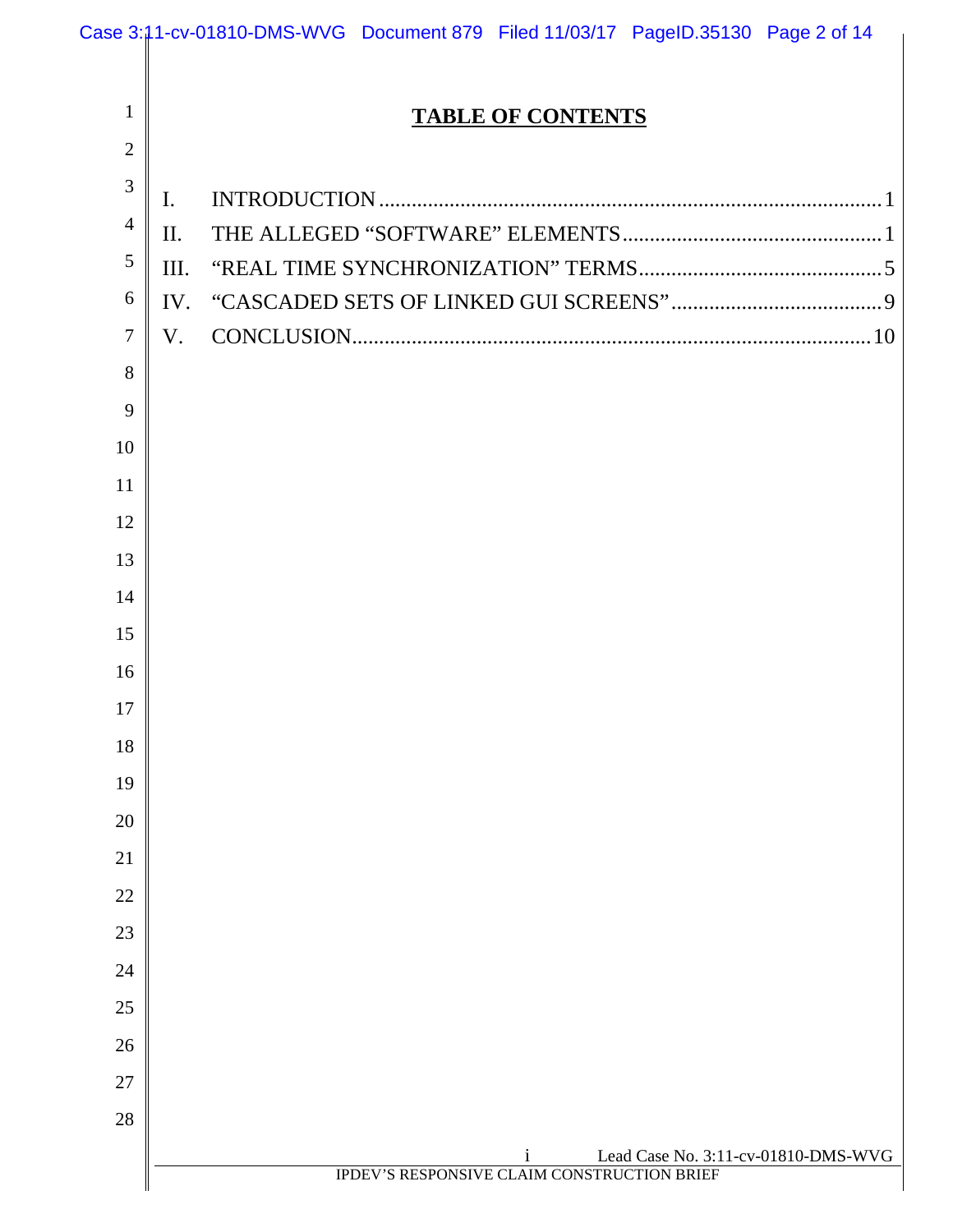|                |                | Case 3:11-cv-01810-DMS-WVG Document 879 Filed 11/03/17 PageID.35130 Page 2 of 14                   |
|----------------|----------------|----------------------------------------------------------------------------------------------------|
|                |                |                                                                                                    |
| $\mathbf{1}$   |                | <b>TABLE OF CONTENTS</b>                                                                           |
| $\overline{2}$ |                |                                                                                                    |
| 3              | $\mathbf{I}$ . |                                                                                                    |
| $\overline{4}$ | $\mathbf{I}$   |                                                                                                    |
| 5              | Ш.             |                                                                                                    |
| 6              | IV.            |                                                                                                    |
| $\overline{7}$ | V.             |                                                                                                    |
| 8              |                |                                                                                                    |
| 9              |                |                                                                                                    |
| 10             |                |                                                                                                    |
| 11             |                |                                                                                                    |
| 12             |                |                                                                                                    |
| 13             |                |                                                                                                    |
| 14             |                |                                                                                                    |
| 15             |                |                                                                                                    |
| 16             |                |                                                                                                    |
| 17             |                |                                                                                                    |
| 18             |                |                                                                                                    |
| 19             |                |                                                                                                    |
| 20             |                |                                                                                                    |
| 21             |                |                                                                                                    |
| 22             |                |                                                                                                    |
| 23             |                |                                                                                                    |
| 24             |                |                                                                                                    |
| 25             |                |                                                                                                    |
| 26             |                |                                                                                                    |
| 27             |                |                                                                                                    |
| 28             |                |                                                                                                    |
|                |                | Lead Case No. 3:11-cv-01810-DMS-WVG<br>$\mathbf{1}$<br>IPDEV'S RESPONSIVE CLAIM CONSTRUCTION BRIEF |
|                |                |                                                                                                    |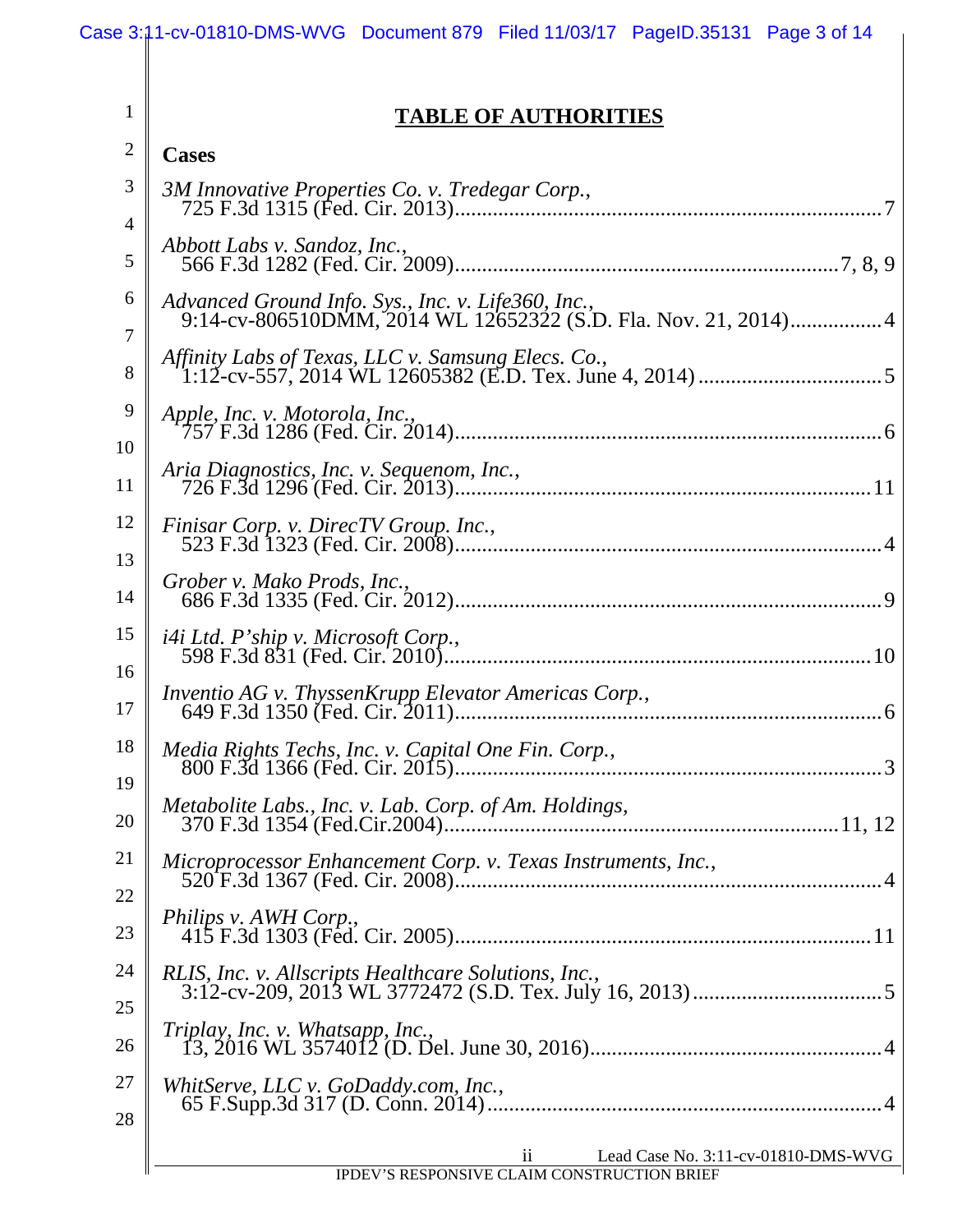1

## **TABLE OF AUTHORITIES**

| <b>Cases</b>                                                                                                         |
|----------------------------------------------------------------------------------------------------------------------|
| 3M Innovative Properties Co. v. Tredegar Corp.,                                                                      |
| Abbott Labs v. Sandoz, Inc.,                                                                                         |
| Advanced Ground Info. Sys., Inc. v. Life360, Inc.,<br>9:14-cv-806510DMM, 2014 WL 12652322 (S.D. Fla. Nov. 21, 2014)4 |
|                                                                                                                      |
|                                                                                                                      |
| Aria Diagnostics, Inc. v. Sequenom, Inc.,                                                                            |
| Finisar Corp. v. DirecTV Group. Inc.,                                                                                |
| Grober v. Mako Prods, Inc.,                                                                                          |
| <i>i4i Ltd. P'ship v. Microsoft Corp.,</i>                                                                           |
|                                                                                                                      |
| Media Rights Techs, Inc. v. Capital One Fin. Corp.,                                                                  |
| Metabolite Labs., Inc. v. Lab. Corp. of Am. Holdings,                                                                |
| Microprocessor Enhancement Corp. v. Texas Instruments, Inc.,                                                         |
| Philips v. AWH Corp.,                                                                                                |
| RLIS, Inc. v. Allscripts Healthcare Solutions, Inc.,                                                                 |
|                                                                                                                      |
| WhitServe, LLC v. GoDaddy.com, Inc.,                                                                                 |
| $\overline{\mathbf{u}}$<br>Lead Case No. 3:11-cv-01810-DMS-WVG<br>IPDEV'S RESPONSIVE CLAIM CONSTRUCTION BRIEF        |
|                                                                                                                      |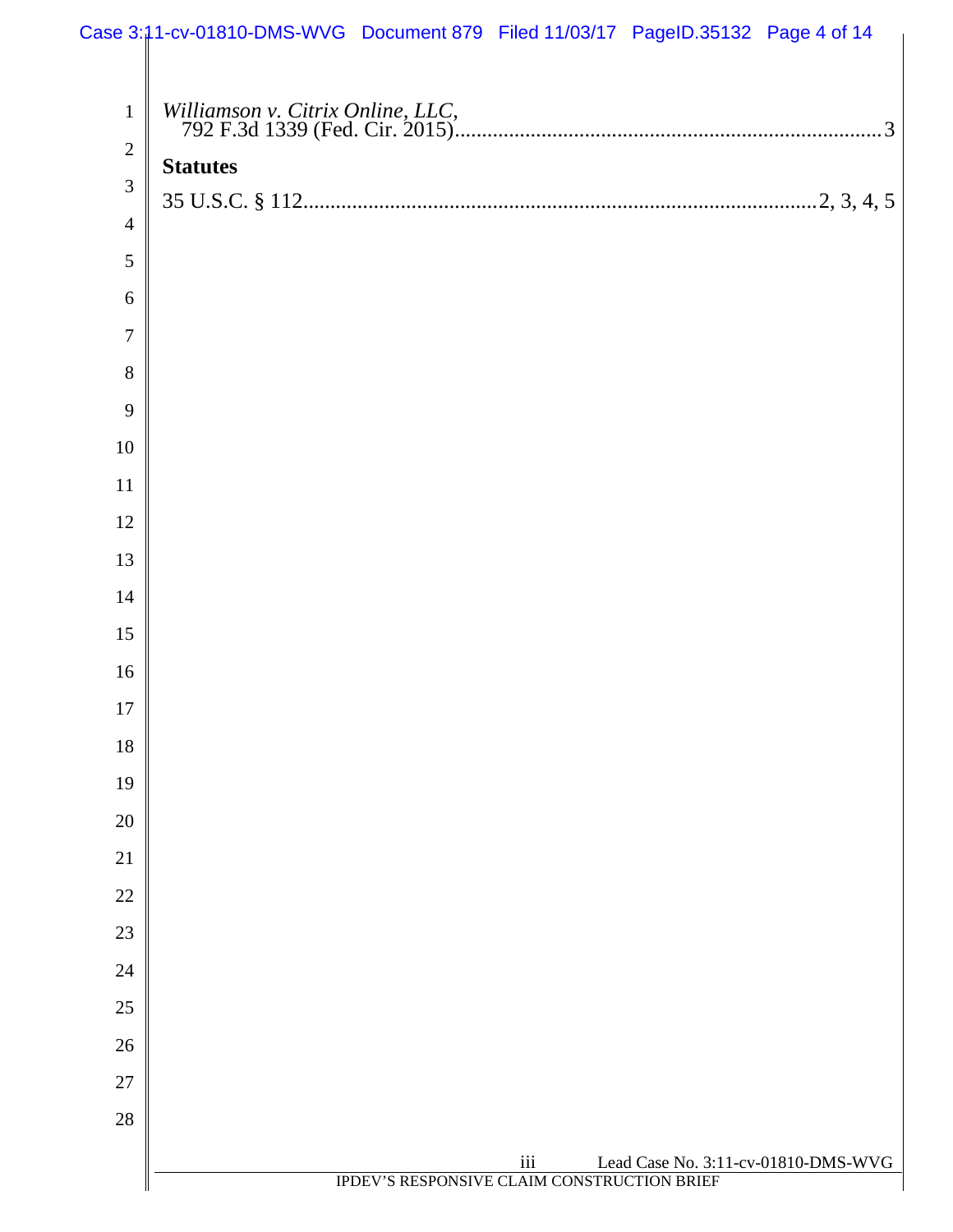|                | Case 3:11-cv-01810-DMS-WVG Document 879 Filed 11/03/17 PageID.35132 Page 4 of 14 |
|----------------|----------------------------------------------------------------------------------|
|                |                                                                                  |
| $\mathbf{1}$   |                                                                                  |
| $\overline{2}$ | <b>Statutes</b>                                                                  |
| 3              |                                                                                  |
| $\overline{4}$ |                                                                                  |
| 5              |                                                                                  |
| 6              |                                                                                  |
| $\overline{7}$ |                                                                                  |
| 8              |                                                                                  |
| 9              |                                                                                  |
| $10\,$         |                                                                                  |
| $11\,$         |                                                                                  |
| 12             |                                                                                  |
| 13             |                                                                                  |
| 14             |                                                                                  |
| 15             |                                                                                  |
| 16             |                                                                                  |
| 17             |                                                                                  |
| 18             |                                                                                  |
| 19             |                                                                                  |
| 20             |                                                                                  |
| 21             |                                                                                  |
| 22             |                                                                                  |
| 23             |                                                                                  |
| 24             |                                                                                  |
| 25             |                                                                                  |
| 26             |                                                                                  |
| 27             |                                                                                  |
| $28\,$         |                                                                                  |
|                | iii<br>Lead Case No. 3:11-cv-01810-DMS-WVG                                       |
|                | IPDEV'S RESPONSIVE CLAIM CONSTRUCTION BRIEF                                      |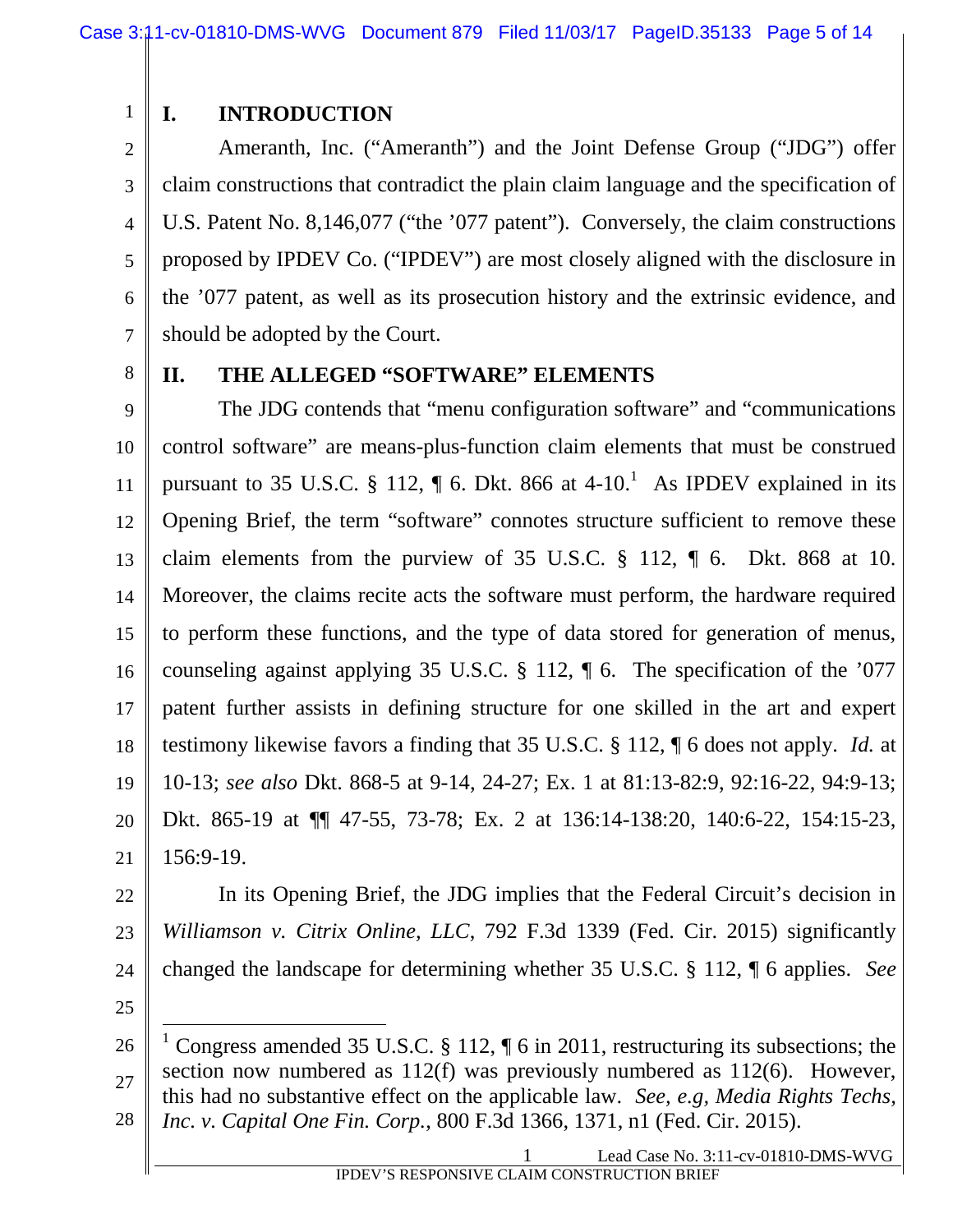# 2

1

### **I. INTRODUCTION**

3 4 5 6 7 Ameranth, Inc. ("Ameranth") and the Joint Defense Group ("JDG") offer claim constructions that contradict the plain claim language and the specification of U.S. Patent No. 8,146,077 ("the '077 patent"). Conversely, the claim constructions proposed by IPDEV Co. ("IPDEV") are most closely aligned with the disclosure in the '077 patent, as well as its prosecution history and the extrinsic evidence, and should be adopted by the Court.

8

#### **II. THE ALLEGED "SOFTWARE" ELEMENTS**

9 10 11 12 13 14 15 16 17 18 19 20 21 The JDG contends that "menu configuration software" and "communications control software" are means-plus-function claim elements that must be construed pursuant to 35 U.S.C. § 112,  $\P$  6. Dkt. 866 at 4-10.<sup>1</sup> As IPDEV explained in its Opening Brief, the term "software" connotes structure sufficient to remove these claim elements from the purview of 35 U.S.C.  $\S$  112,  $\P$  6. Dkt. 868 at 10. Moreover, the claims recite acts the software must perform, the hardware required to perform these functions, and the type of data stored for generation of menus, counseling against applying 35 U.S.C. § 112, ¶ 6. The specification of the '077 patent further assists in defining structure for one skilled in the art and expert testimony likewise favors a finding that 35 U.S.C. § 112, ¶ 6 does not apply. *Id.* at 10-13; *see also* Dkt. 868-5 at 9-14, 24-27; Ex. 1 at 81:13-82:9, 92:16-22, 94:9-13; Dkt. 865-19 at ¶¶ 47-55, 73-78; Ex. 2 at 136:14-138:20, 140:6-22, 154:15-23, 156:9-19.

22 23 24 In its Opening Brief, the JDG implies that the Federal Circuit's decision in *Williamson v. Citrix Online, LLC*, 792 F.3d 1339 (Fed. Cir. 2015) significantly changed the landscape for determining whether 35 U.S.C. § 112, ¶ 6 applies. *See*

25

<sup>26</sup> 27 28 <sup>1</sup> Congress amended 35 U.S.C. § 112,  $\parallel$  6 in 2011, restructuring its subsections; the section now numbered as 112(f) was previously numbered as 112(6). However, this had no substantive effect on the applicable law. *See, e.g, Media Rights Techs,*

*Inc. v. Capital One Fin. Corp.*, 800 F.3d 1366, 1371, n1 (Fed. Cir. 2015).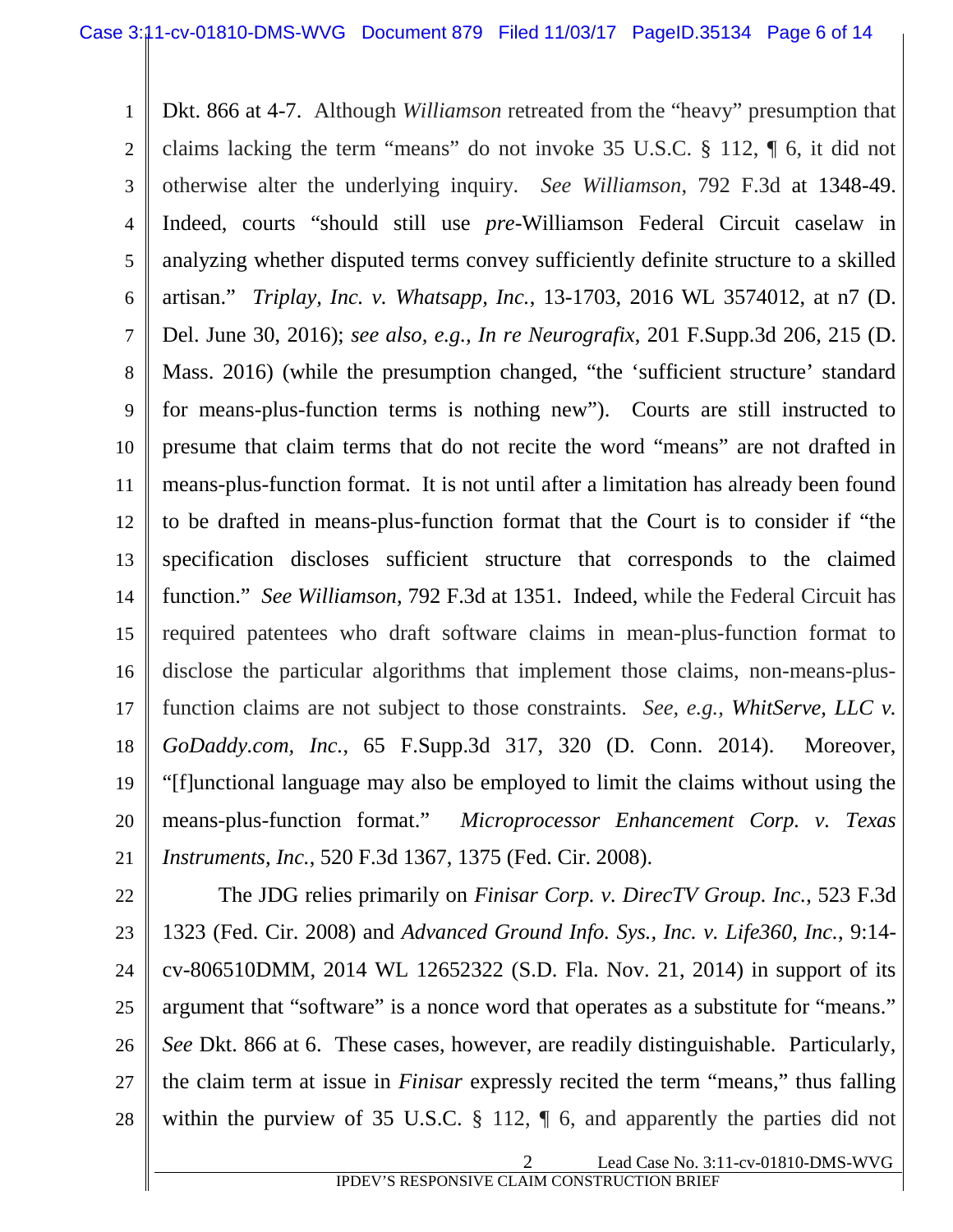1 2 3 4 5 6 7 8 9 10 11 12 13 14 15 16 17 18 19 20 21 Dkt. 866 at 4-7. Although *Williamson* retreated from the "heavy" presumption that claims lacking the term "means" do not invoke 35 U.S.C. § 112, ¶ 6, it did not otherwise alter the underlying inquiry. *See Williamson*, 792 F.3d at 1348-49. Indeed, courts "should still use *pre-*Williamson Federal Circuit caselaw in analyzing whether disputed terms convey sufficiently definite structure to a skilled artisan." *Triplay, Inc. v. Whatsapp, Inc.*, 13-1703, 2016 WL 3574012, at n7 (D. Del. June 30, 2016); *see also, e.g., In re Neurografix*, 201 F.Supp.3d 206, 215 (D. Mass. 2016) (while the presumption changed, "the 'sufficient structure' standard for means-plus-function terms is nothing new"). Courts are still instructed to presume that claim terms that do not recite the word "means" are not drafted in means-plus-function format. It is not until after a limitation has already been found to be drafted in means-plus-function format that the Court is to consider if "the specification discloses sufficient structure that corresponds to the claimed function." *See Williamson*, 792 F.3d at 1351. Indeed, while the Federal Circuit has required patentees who draft software claims in mean-plus-function format to disclose the particular algorithms that implement those claims, non-means-plusfunction claims are not subject to those constraints. *See, e.g., WhitServe, LLC v. GoDaddy.com, Inc.*, 65 F.Supp.3d 317, 320 (D. Conn. 2014). Moreover, "[f]unctional language may also be employed to limit the claims without using the means-plus-function format." *Microprocessor Enhancement Corp. v. Texas Instruments, Inc.*, 520 F.3d 1367, 1375 (Fed. Cir. 2008).

22 23 24 25 26 27 28 The JDG relies primarily on *Finisar Corp. v. DirecTV Group. Inc.*, 523 F.3d 1323 (Fed. Cir. 2008) and *Advanced Ground Info. Sys., Inc. v. Life360, Inc.*, 9:14 cv-806510DMM, 2014 WL 12652322 (S.D. Fla. Nov. 21, 2014) in support of its argument that "software" is a nonce word that operates as a substitute for "means." *See* Dkt. 866 at 6. These cases, however, are readily distinguishable. Particularly, the claim term at issue in *Finisar* expressly recited the term "means," thus falling within the purview of 35 U.S.C. § 112,  $\parallel$  6, and apparently the parties did not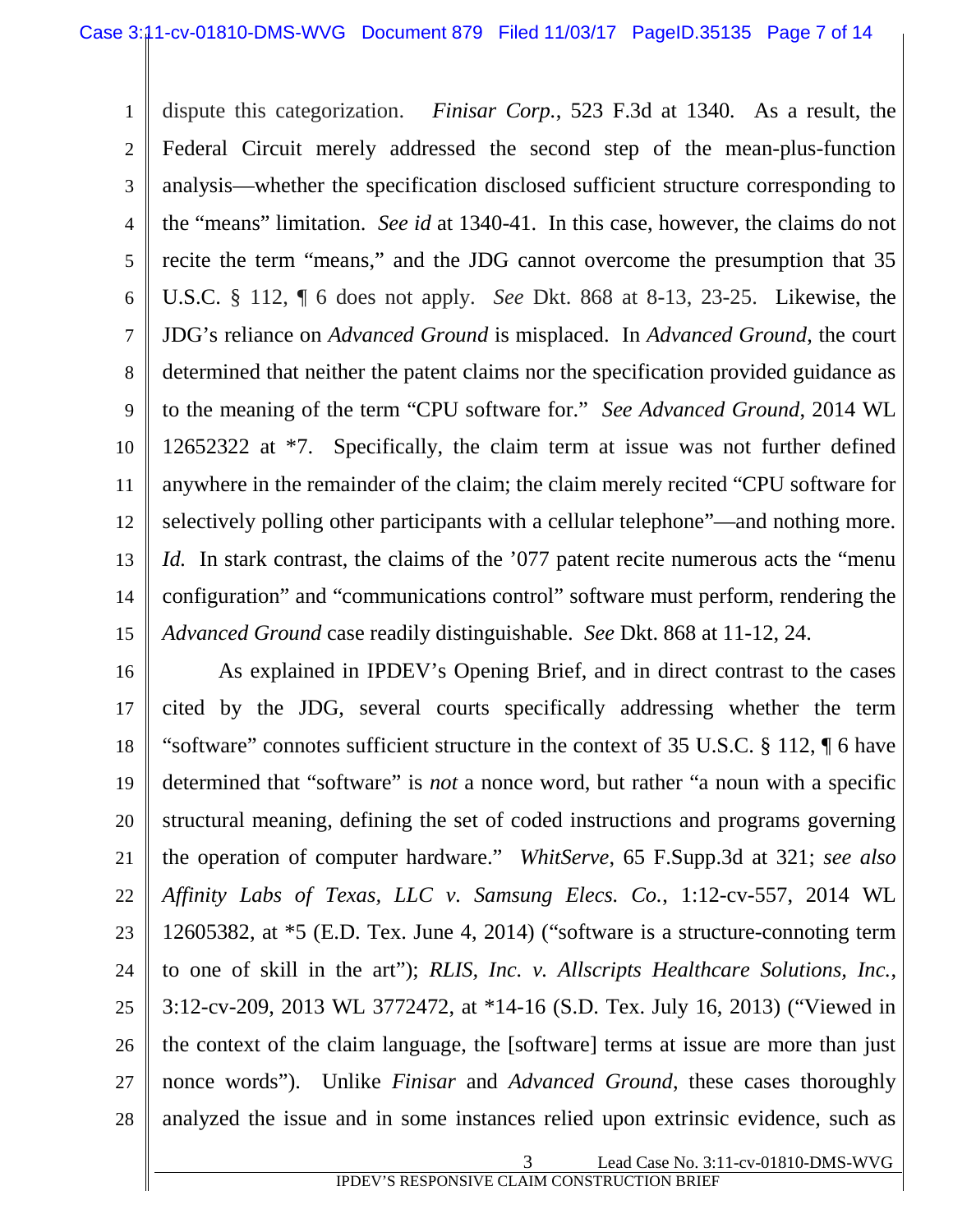1 2 3 4 5 6 7 8 9 10 11 12 13 14 15 dispute this categorization. *Finisar Corp.*, 523 F.3d at 1340*.* As a result, the Federal Circuit merely addressed the second step of the mean-plus-function analysis—whether the specification disclosed sufficient structure corresponding to the "means" limitation. *See id* at 1340-41. In this case, however, the claims do not recite the term "means," and the JDG cannot overcome the presumption that 35 U.S.C. § 112, ¶ 6 does not apply. *See* Dkt. 868 at 8-13, 23-25. Likewise, the JDG's reliance on *Advanced Ground* is misplaced. In *Advanced Ground*, the court determined that neither the patent claims nor the specification provided guidance as to the meaning of the term "CPU software for." *See Advanced Ground*, 2014 WL 12652322 at \*7. Specifically, the claim term at issue was not further defined anywhere in the remainder of the claim; the claim merely recited "CPU software for selectively polling other participants with a cellular telephone"—and nothing more. *Id.* In stark contrast, the claims of the '077 patent recite numerous acts the "menu" configuration" and "communications control" software must perform, rendering the *Advanced Ground* case readily distinguishable. *See* Dkt. 868 at 11-12, 24.

16 17 18 19 20 21 22 23 24 25 26 27 28 As explained in IPDEV's Opening Brief, and in direct contrast to the cases cited by the JDG, several courts specifically addressing whether the term "software" connotes sufficient structure in the context of 35 U.S.C. § 112, ¶ 6 have determined that "software" is *not* a nonce word, but rather "a noun with a specific structural meaning, defining the set of coded instructions and programs governing the operation of computer hardware." *WhitServe*, 65 F.Supp.3d at 321; *see also Affinity Labs of Texas, LLC v. Samsung Elecs. Co.*, 1:12-cv-557, 2014 WL 12605382, at \*5 (E.D. Tex. June 4, 2014) ("software is a structure-connoting term to one of skill in the art"); *RLIS, Inc. v. Allscripts Healthcare Solutions, Inc.*, 3:12-cv-209, 2013 WL 3772472, at \*14-16 (S.D. Tex. July 16, 2013) ("Viewed in the context of the claim language, the [software] terms at issue are more than just nonce words"). Unlike *Finisar* and *Advanced Ground*, these cases thoroughly analyzed the issue and in some instances relied upon extrinsic evidence, such as

3 Lead Case No. 3:11-cv-01810-DMS-WVG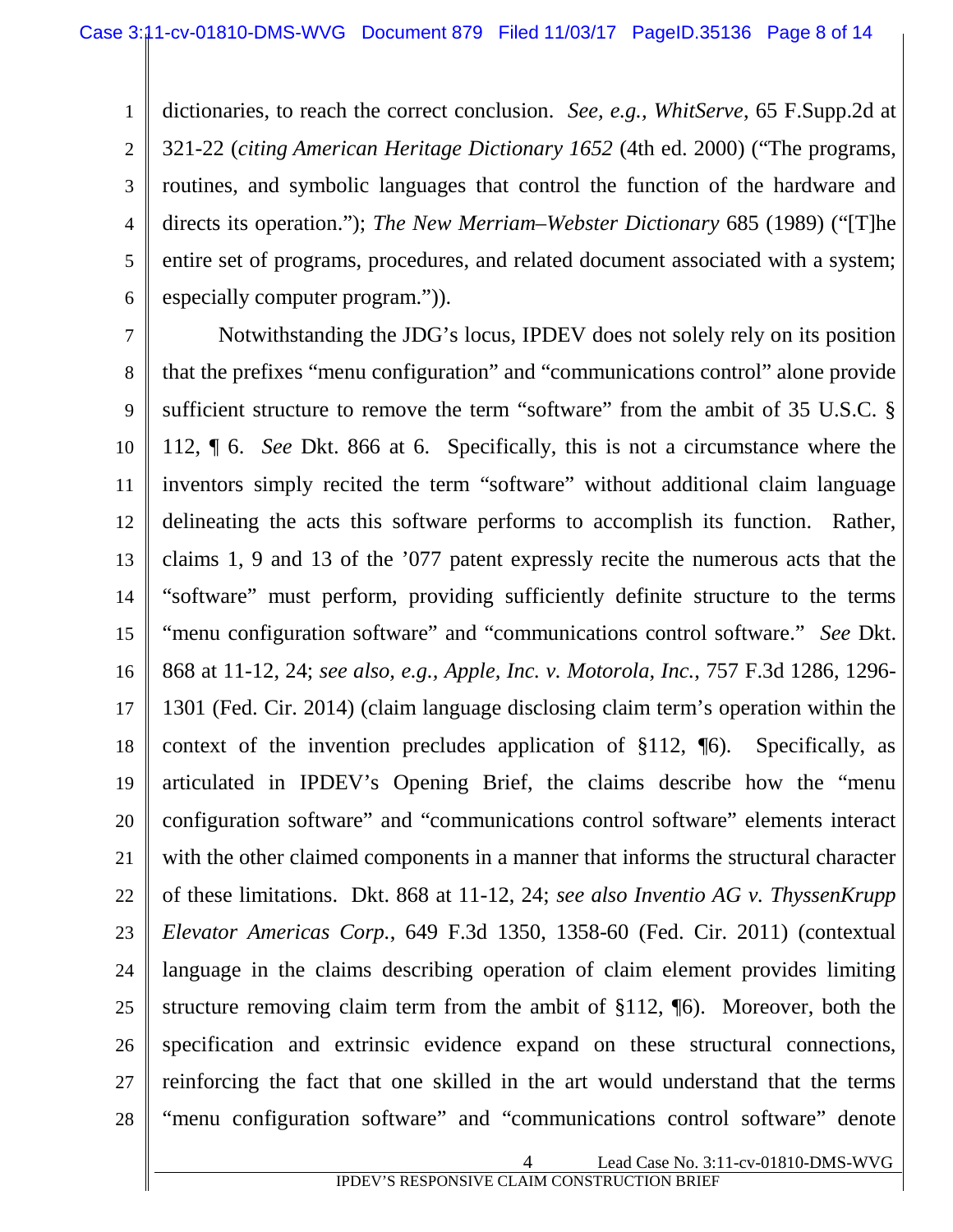1 2 3 4 5 6 dictionaries, to reach the correct conclusion. *See, e.g., WhitServe*, 65 F.Supp.2d at 321-22 (*citing American Heritage Dictionary 1652* (4th ed. 2000) ("The programs, routines, and symbolic languages that control the function of the hardware and directs its operation."); *The New Merriam–Webster Dictionary* 685 (1989) ("[T]he entire set of programs, procedures, and related document associated with a system; especially computer program.")).

7 8 9 10 11 12 13 14 15 16 17 18 19 20 21 22 23 24 25 26 27 28 Notwithstanding the JDG's locus, IPDEV does not solely rely on its position that the prefixes "menu configuration" and "communications control" alone provide sufficient structure to remove the term "software" from the ambit of 35 U.S.C. § 112, ¶ 6. *See* Dkt. 866 at 6. Specifically, this is not a circumstance where the inventors simply recited the term "software" without additional claim language delineating the acts this software performs to accomplish its function. Rather, claims 1, 9 and 13 of the '077 patent expressly recite the numerous acts that the "software" must perform, providing sufficiently definite structure to the terms "menu configuration software" and "communications control software." *See* Dkt. 868 at 11-12, 24; *see also, e.g., Apple, Inc. v. Motorola, Inc.*, 757 F.3d 1286, 1296- 1301 (Fed. Cir. 2014) (claim language disclosing claim term's operation within the context of the invention precludes application of §112, ¶6). Specifically, as articulated in IPDEV's Opening Brief, the claims describe how the "menu configuration software" and "communications control software" elements interact with the other claimed components in a manner that informs the structural character of these limitations. Dkt. 868 at 11-12, 24; *see also Inventio AG v. ThyssenKrupp Elevator Americas Corp.*, 649 F.3d 1350, 1358-60 (Fed. Cir. 2011) (contextual language in the claims describing operation of claim element provides limiting structure removing claim term from the ambit of §112, ¶6). Moreover, both the specification and extrinsic evidence expand on these structural connections, reinforcing the fact that one skilled in the art would understand that the terms "menu configuration software" and "communications control software" denote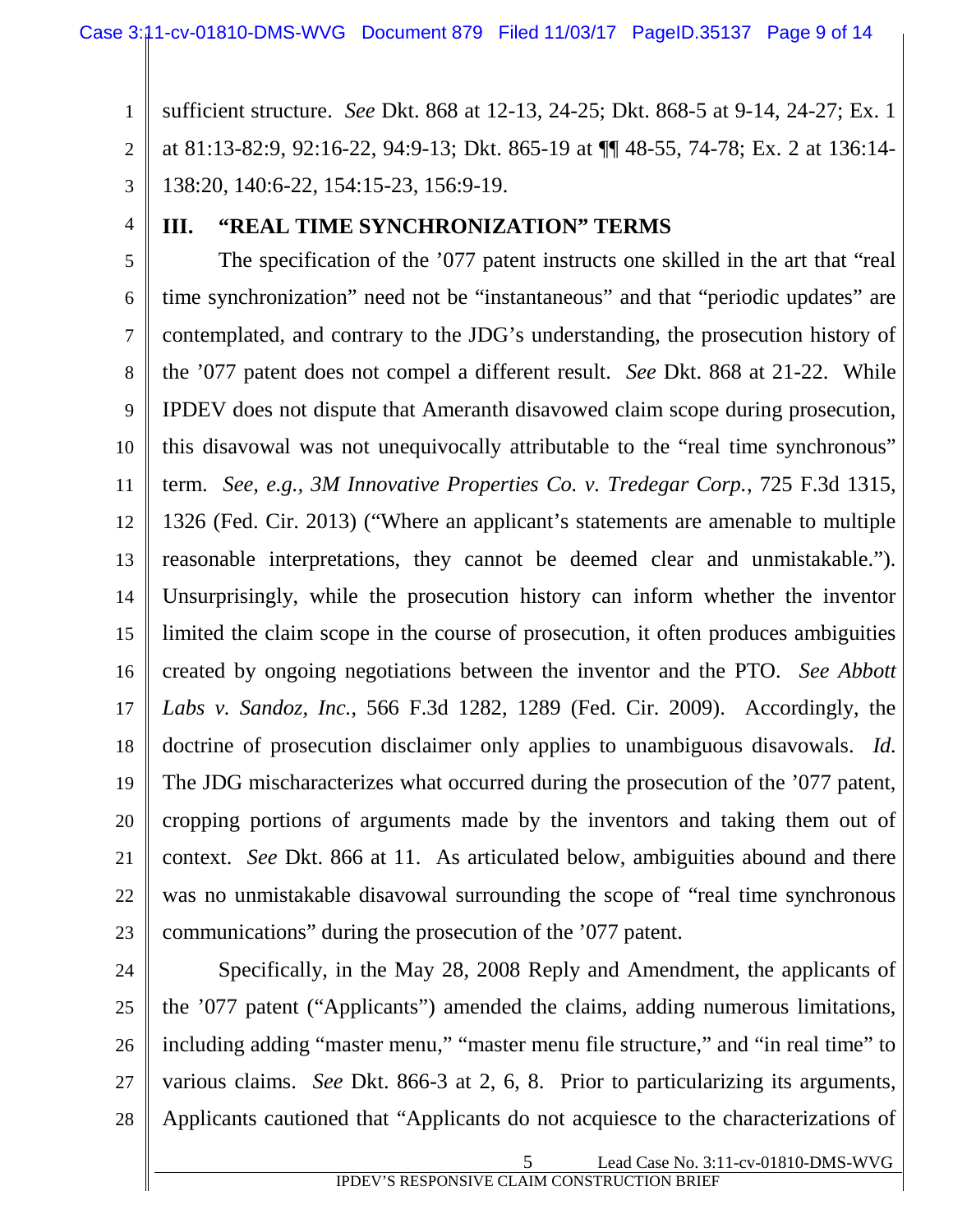1 2 3 sufficient structure. *See* Dkt. 868 at 12-13, 24-25; Dkt. 868-5 at 9-14, 24-27; Ex. 1 at 81:13-82:9, 92:16-22, 94:9-13; Dkt. 865-19 at ¶¶ 48-55, 74-78; Ex. 2 at 136:14- 138:20, 140:6-22, 154:15-23, 156:9-19.

4

#### **III. "REAL TIME SYNCHRONIZATION" TERMS**

5 6 7 8 9 10 11 12 13 14 15 16 17 18 19 20 21 22 23 The specification of the '077 patent instructs one skilled in the art that "real time synchronization" need not be "instantaneous" and that "periodic updates" are contemplated, and contrary to the JDG's understanding, the prosecution history of the '077 patent does not compel a different result. *See* Dkt. 868 at 21-22. While IPDEV does not dispute that Ameranth disavowed claim scope during prosecution, this disavowal was not unequivocally attributable to the "real time synchronous" term. *See, e.g., 3M Innovative Properties Co. v. Tredegar Corp.*, 725 F.3d 1315, 1326 (Fed. Cir. 2013) ("Where an applicant's statements are amenable to multiple reasonable interpretations, they cannot be deemed clear and unmistakable."). Unsurprisingly, while the prosecution history can inform whether the inventor limited the claim scope in the course of prosecution, it often produces ambiguities created by ongoing negotiations between the inventor and the PTO. *See Abbott Labs v. Sandoz, Inc.*, 566 F.3d 1282, 1289 (Fed. Cir. 2009). Accordingly, the doctrine of prosecution disclaimer only applies to unambiguous disavowals. *Id.* The JDG mischaracterizes what occurred during the prosecution of the '077 patent, cropping portions of arguments made by the inventors and taking them out of context. *See* Dkt. 866 at 11. As articulated below, ambiguities abound and there was no unmistakable disavowal surrounding the scope of "real time synchronous communications" during the prosecution of the '077 patent.

24

25 26 27 28 Specifically, in the May 28, 2008 Reply and Amendment, the applicants of the '077 patent ("Applicants") amended the claims, adding numerous limitations, including adding "master menu," "master menu file structure," and "in real time" to various claims. *See* Dkt. 866-3 at 2, 6, 8. Prior to particularizing its arguments, Applicants cautioned that "Applicants do not acquiesce to the characterizations of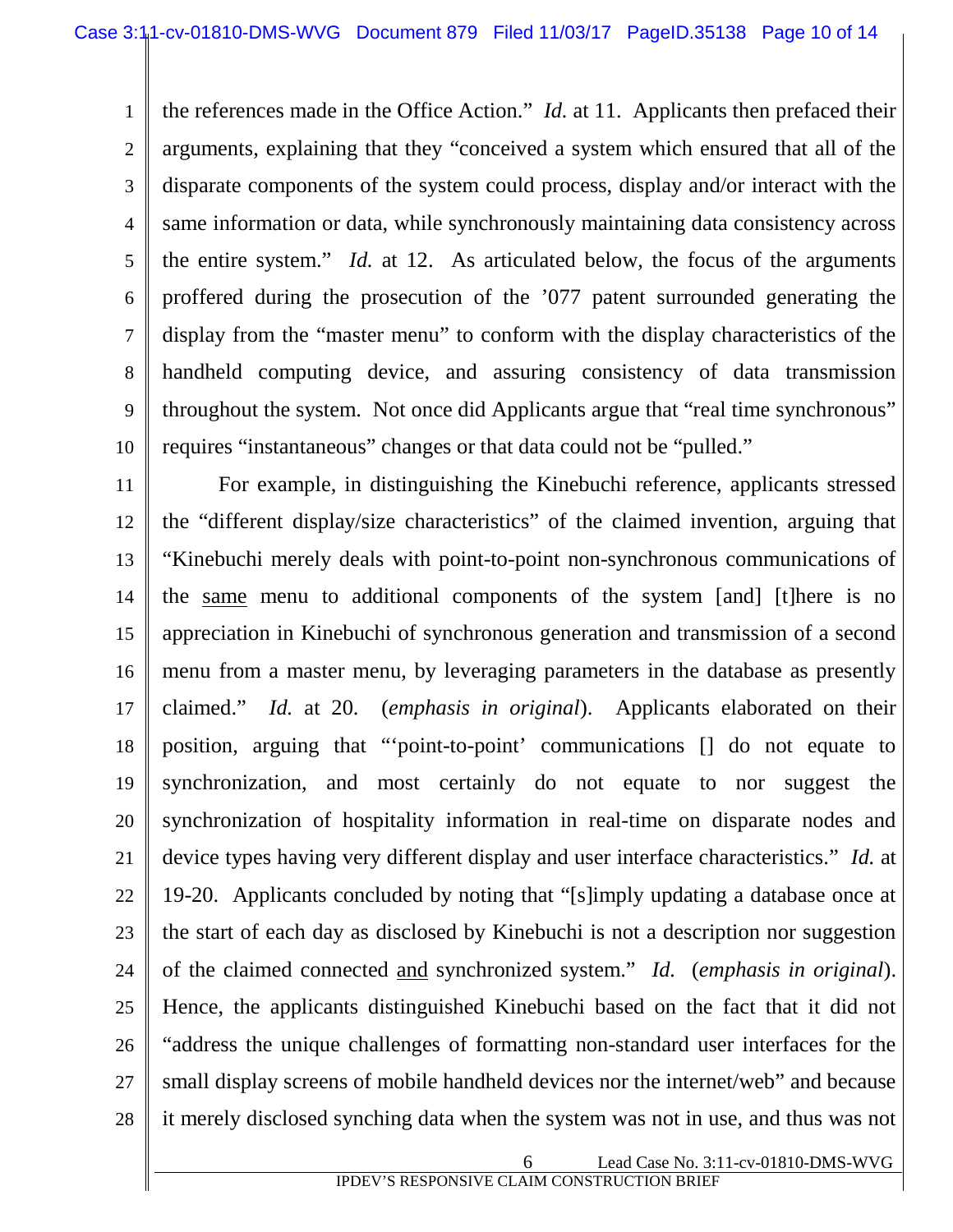1 2 3 4 5 6 7 8 9 10 the references made in the Office Action." *Id.* at 11. Applicants then prefaced their arguments, explaining that they "conceived a system which ensured that all of the disparate components of the system could process, display and/or interact with the same information or data, while synchronously maintaining data consistency across the entire system." *Id.* at 12. As articulated below, the focus of the arguments proffered during the prosecution of the '077 patent surrounded generating the display from the "master menu" to conform with the display characteristics of the handheld computing device, and assuring consistency of data transmission throughout the system. Not once did Applicants argue that "real time synchronous" requires "instantaneous" changes or that data could not be "pulled."

11 12 13 14 15 16 17 18 19 20 21 22 23 24 25 26 27 28 For example, in distinguishing the Kinebuchi reference, applicants stressed the "different display/size characteristics" of the claimed invention, arguing that "Kinebuchi merely deals with point-to-point non-synchronous communications of the same menu to additional components of the system [and] [t]here is no appreciation in Kinebuchi of synchronous generation and transmission of a second menu from a master menu, by leveraging parameters in the database as presently claimed." *Id.* at 20. (*emphasis in original*). Applicants elaborated on their position, arguing that "'point-to-point' communications [] do not equate to synchronization, and most certainly do not equate to nor suggest the synchronization of hospitality information in real-time on disparate nodes and device types having very different display and user interface characteristics." *Id.* at 19-20. Applicants concluded by noting that "[s]imply updating a database once at the start of each day as disclosed by Kinebuchi is not a description nor suggestion of the claimed connected and synchronized system." *Id.* (*emphasis in original*). Hence, the applicants distinguished Kinebuchi based on the fact that it did not "address the unique challenges of formatting non-standard user interfaces for the small display screens of mobile handheld devices nor the internet/web" and because it merely disclosed synching data when the system was not in use, and thus was not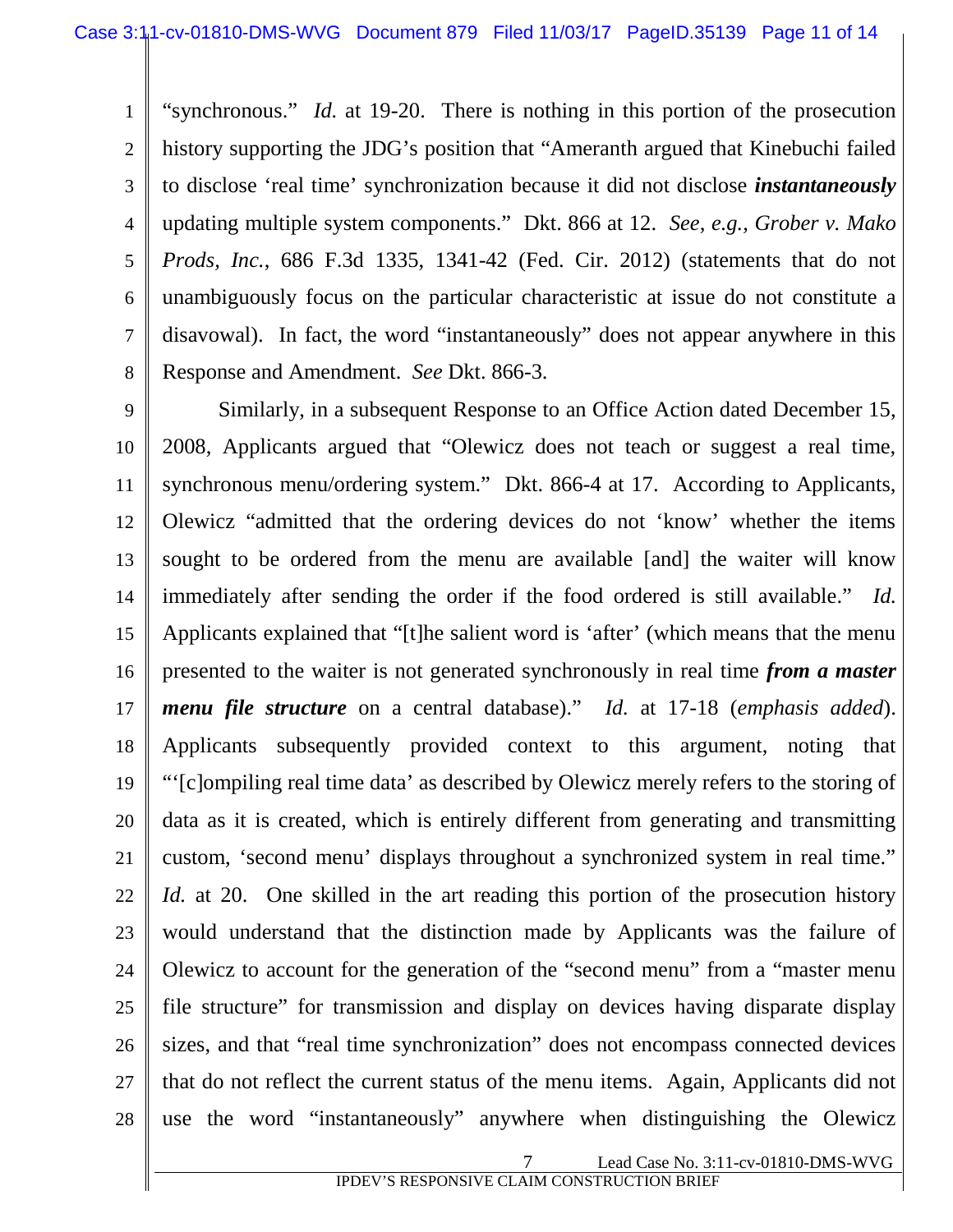1 2 3 4 5 6 7 8 "synchronous." *Id.* at 19-20. There is nothing in this portion of the prosecution history supporting the JDG's position that "Ameranth argued that Kinebuchi failed to disclose 'real time' synchronization because it did not disclose *instantaneously* updating multiple system components." Dkt. 866 at 12. *See, e.g., Grober v. Mako Prods, Inc.*, 686 F.3d 1335, 1341-42 (Fed. Cir. 2012) (statements that do not unambiguously focus on the particular characteristic at issue do not constitute a disavowal). In fact, the word "instantaneously" does not appear anywhere in this Response and Amendment. *See* Dkt. 866-3.

9 10 11 12 13 14 15 16 17 18 19 20 21 22 23 24 25 26 27 28 Similarly, in a subsequent Response to an Office Action dated December 15, 2008, Applicants argued that "Olewicz does not teach or suggest a real time, synchronous menu/ordering system." Dkt. 866-4 at 17. According to Applicants, Olewicz "admitted that the ordering devices do not 'know' whether the items sought to be ordered from the menu are available [and] the waiter will know immediately after sending the order if the food ordered is still available." *Id.* Applicants explained that "[t]he salient word is 'after' (which means that the menu presented to the waiter is not generated synchronously in real time *from a master menu file structure* on a central database)." *Id.* at 17-18 (*emphasis added*). Applicants subsequently provided context to this argument, noting that "'[c]ompiling real time data' as described by Olewicz merely refers to the storing of data as it is created, which is entirely different from generating and transmitting custom, 'second menu' displays throughout a synchronized system in real time." *Id.* at 20. One skilled in the art reading this portion of the prosecution history would understand that the distinction made by Applicants was the failure of Olewicz to account for the generation of the "second menu" from a "master menu file structure" for transmission and display on devices having disparate display sizes, and that "real time synchronization" does not encompass connected devices that do not reflect the current status of the menu items. Again, Applicants did not use the word "instantaneously" anywhere when distinguishing the Olewicz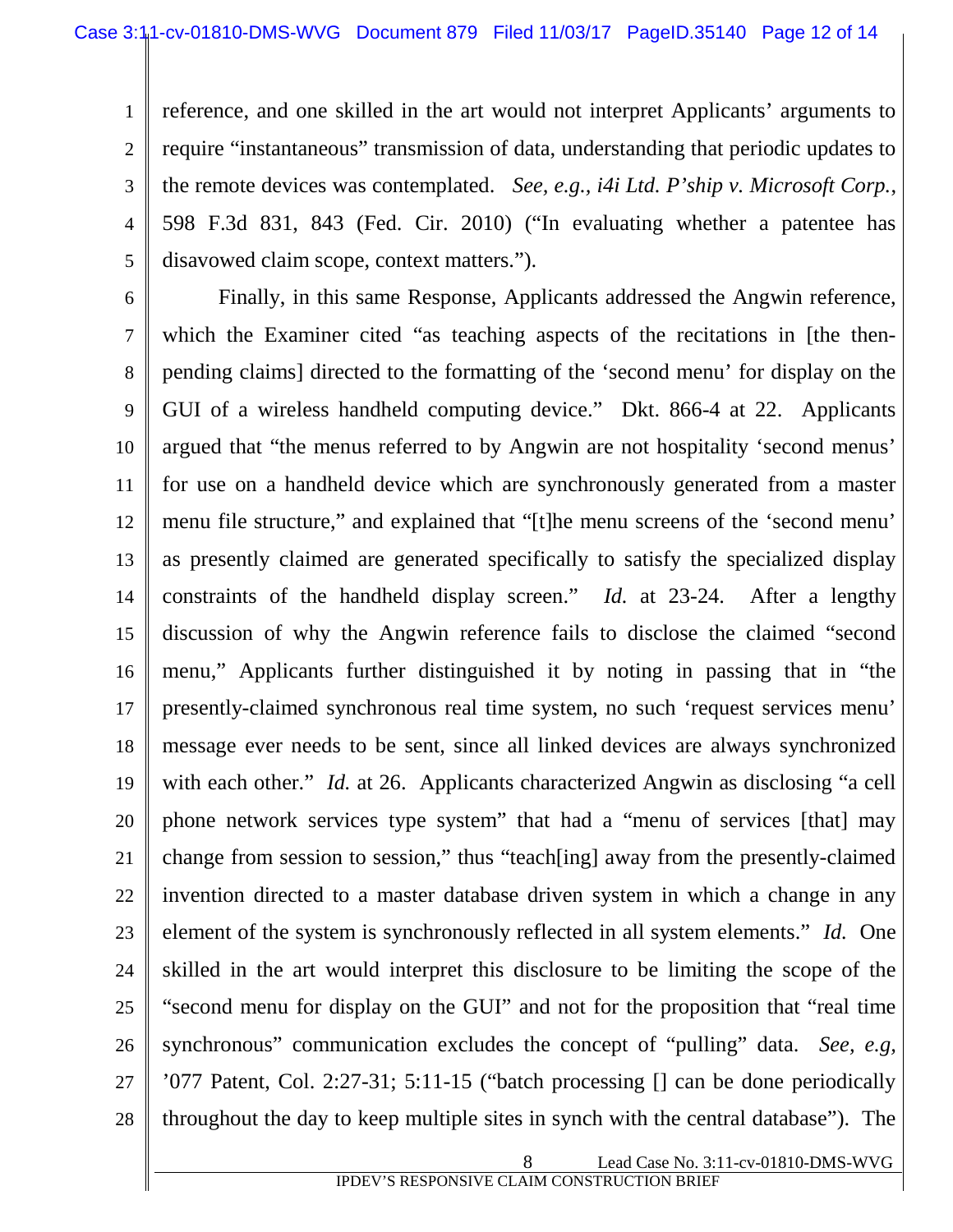1 2 3 4 5 reference, and one skilled in the art would not interpret Applicants' arguments to require "instantaneous" transmission of data, understanding that periodic updates to the remote devices was contemplated. *See, e.g., i4i Ltd. P'ship v. Microsoft Corp.*, 598 F.3d 831, 843 (Fed. Cir. 2010) ("In evaluating whether a patentee has disavowed claim scope, context matters.").

6 7 8 9 10 11 12 13 14 15 16 17 18 19 20 21 22 23 24 25 26 27 28 Finally, in this same Response, Applicants addressed the Angwin reference, which the Examiner cited "as teaching aspects of the recitations in [the thenpending claims] directed to the formatting of the 'second menu' for display on the GUI of a wireless handheld computing device." Dkt. 866-4 at 22. Applicants argued that "the menus referred to by Angwin are not hospitality 'second menus' for use on a handheld device which are synchronously generated from a master menu file structure," and explained that "[t]he menu screens of the 'second menu' as presently claimed are generated specifically to satisfy the specialized display constraints of the handheld display screen." *Id.* at 23-24. After a lengthy discussion of why the Angwin reference fails to disclose the claimed "second menu," Applicants further distinguished it by noting in passing that in "the presently-claimed synchronous real time system, no such 'request services menu' message ever needs to be sent, since all linked devices are always synchronized with each other." *Id.* at 26. Applicants characterized Angwin as disclosing "a cell phone network services type system" that had a "menu of services [that] may change from session to session," thus "teach[ing] away from the presently-claimed invention directed to a master database driven system in which a change in any element of the system is synchronously reflected in all system elements." *Id.* One skilled in the art would interpret this disclosure to be limiting the scope of the "second menu for display on the GUI" and not for the proposition that "real time synchronous" communication excludes the concept of "pulling" data. *See, e.g,* '077 Patent, Col. 2:27-31; 5:11-15 ("batch processing [] can be done periodically throughout the day to keep multiple sites in synch with the central database"). The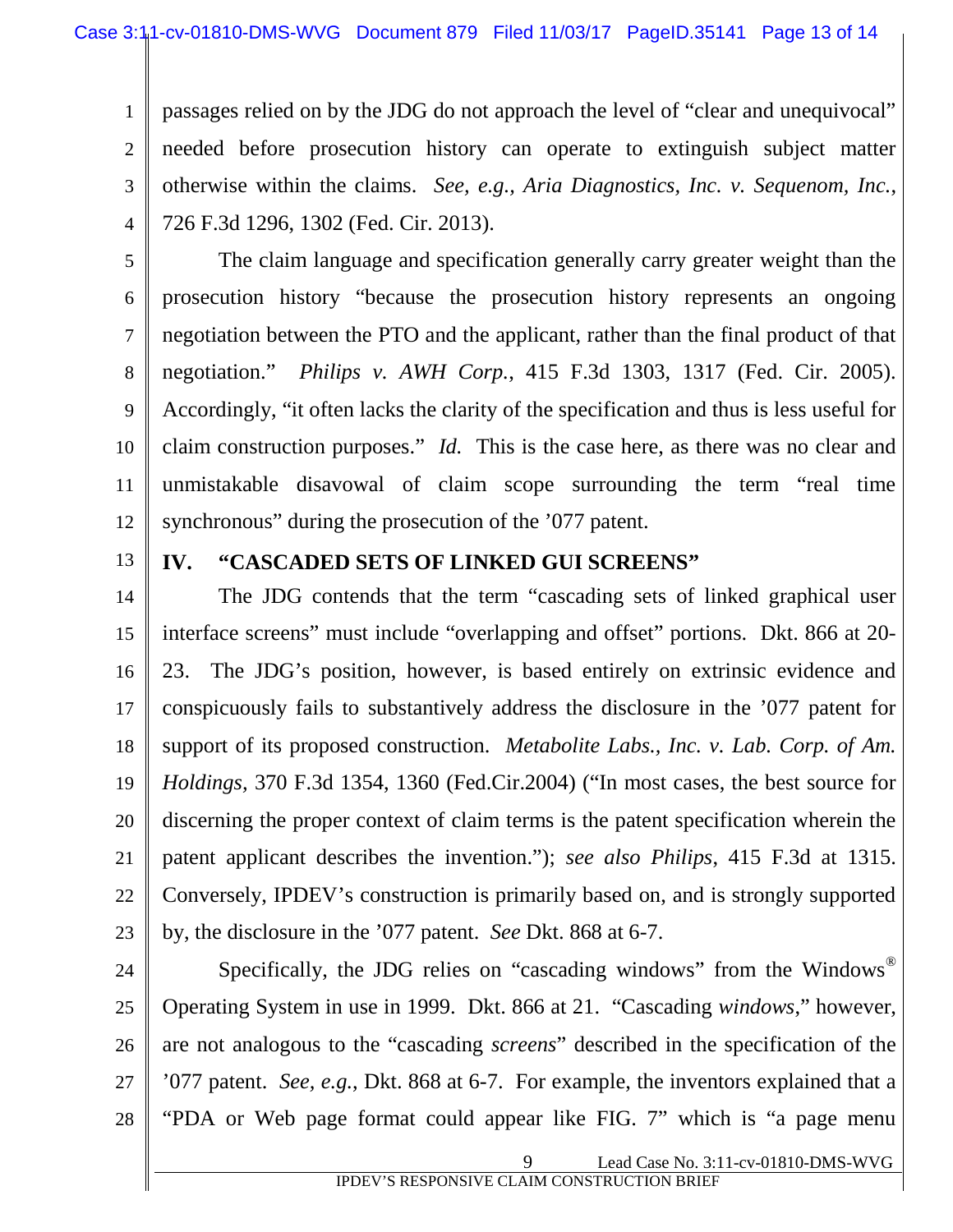1 2 3 4 passages relied on by the JDG do not approach the level of "clear and unequivocal" needed before prosecution history can operate to extinguish subject matter otherwise within the claims. *See, e.g., Aria Diagnostics, Inc. v. Sequenom, Inc.*, 726 F.3d 1296, 1302 (Fed. Cir. 2013).

5

6 7 8 9 10 11 12 The claim language and specification generally carry greater weight than the prosecution history "because the prosecution history represents an ongoing negotiation between the PTO and the applicant, rather than the final product of that negotiation." *Philips v. AWH Corp.*, 415 F.3d 1303, 1317 (Fed. Cir. 2005). Accordingly, "it often lacks the clarity of the specification and thus is less useful for claim construction purposes." *Id.* This is the case here, as there was no clear and unmistakable disavowal of claim scope surrounding the term "real time synchronous" during the prosecution of the '077 patent.

13

#### **IV. "CASCADED SETS OF LINKED GUI SCREENS"**

14 15 16 17 18 19 20 21 22 23 The JDG contends that the term "cascading sets of linked graphical user interface screens" must include "overlapping and offset" portions. Dkt. 866 at 20- 23. The JDG's position, however, is based entirely on extrinsic evidence and conspicuously fails to substantively address the disclosure in the '077 patent for support of its proposed construction. *Metabolite Labs., Inc. v. Lab. Corp. of Am. Holdings,* 370 F.3d 1354, 1360 (Fed.Cir.2004) ("In most cases, the best source for discerning the proper context of claim terms is the patent specification wherein the patent applicant describes the invention."); *see also Philips*, 415 F.3d at 1315. Conversely, IPDEV's construction is primarily based on, and is strongly supported by, the disclosure in the '077 patent. *See* Dkt. 868 at 6-7.

24 25 26 27 28 Specifically, the JDG relies on "cascading windows" from the Windows<sup>®</sup> Operating System in use in 1999. Dkt. 866 at 21. "Cascading *windows*," however, are not analogous to the "cascading *screens*" described in the specification of the '077 patent. *See, e.g.*, Dkt. 868 at 6-7. For example, the inventors explained that a "PDA or Web page format could appear like FIG. 7" which is "a page menu